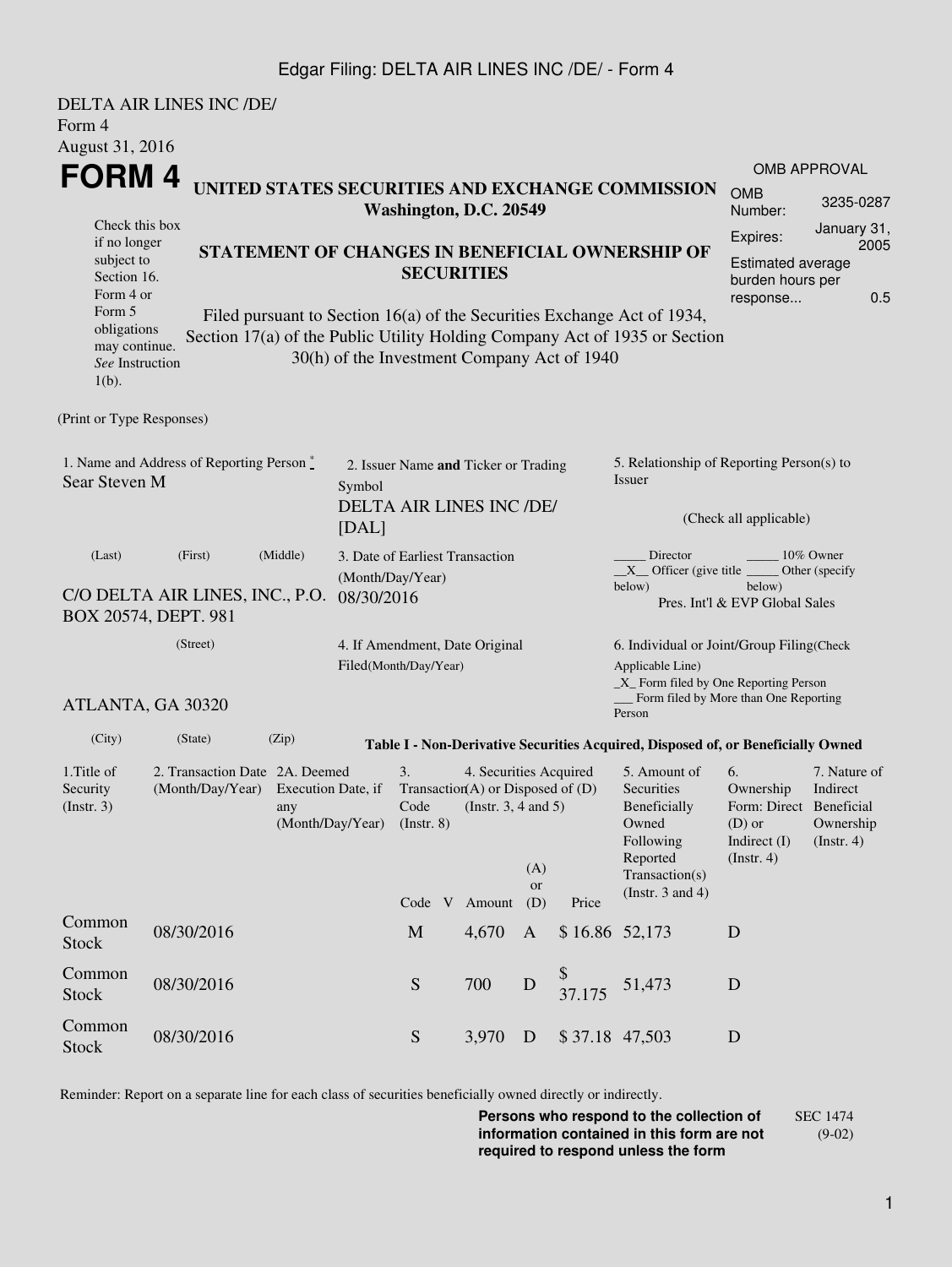## Edgar Filing: DELTA AIR LINES INC /DE/ - Form 4

| Form 4                                                                                                                                            | DELTA AIR LINES INC /DE/       |                                                                                                                                                                                                                                                                                                        |  |               |                                                                                                            |                                                                                                                                                              |        |                                                                                                                                                                                                             |                                                                                              |                                                           |  |  |
|---------------------------------------------------------------------------------------------------------------------------------------------------|--------------------------------|--------------------------------------------------------------------------------------------------------------------------------------------------------------------------------------------------------------------------------------------------------------------------------------------------------|--|---------------|------------------------------------------------------------------------------------------------------------|--------------------------------------------------------------------------------------------------------------------------------------------------------------|--------|-------------------------------------------------------------------------------------------------------------------------------------------------------------------------------------------------------------|----------------------------------------------------------------------------------------------|-----------------------------------------------------------|--|--|
| August 31, 2016                                                                                                                                   |                                |                                                                                                                                                                                                                                                                                                        |  |               |                                                                                                            |                                                                                                                                                              |        |                                                                                                                                                                                                             |                                                                                              |                                                           |  |  |
| FORM 4<br>UNITED STATES SECURITIES AND EXCHANGE COMMISSION                                                                                        |                                |                                                                                                                                                                                                                                                                                                        |  |               |                                                                                                            |                                                                                                                                                              |        |                                                                                                                                                                                                             | <b>OMB</b><br>Number:                                                                        | <b>OMB APPROVAL</b><br>3235-0287                          |  |  |
| Check this box<br>if no longer<br>subject to<br>Section 16.<br>Form 4 or<br>Form 5<br>obligations<br>may continue.<br>See Instruction<br>$1(b)$ . |                                | Washington, D.C. 20549<br>STATEMENT OF CHANGES IN BENEFICIAL OWNERSHIP OF<br><b>SECURITIES</b><br>Filed pursuant to Section 16(a) of the Securities Exchange Act of 1934,<br>Section 17(a) of the Public Utility Holding Company Act of 1935 or Section<br>30(h) of the Investment Company Act of 1940 |  |               |                                                                                                            |                                                                                                                                                              |        |                                                                                                                                                                                                             |                                                                                              |                                                           |  |  |
| (Print or Type Responses)                                                                                                                         |                                |                                                                                                                                                                                                                                                                                                        |  |               |                                                                                                            |                                                                                                                                                              |        |                                                                                                                                                                                                             |                                                                                              |                                                           |  |  |
| 1. Name and Address of Reporting Person *<br>Sear Steven M                                                                                        | Symbol<br>[DAL]                | 2. Issuer Name and Ticker or Trading<br>DELTA AIR LINES INC /DE/                                                                                                                                                                                                                                       |  |               |                                                                                                            | 5. Relationship of Reporting Person(s) to<br><b>Issuer</b><br>(Check all applicable)                                                                         |        |                                                                                                                                                                                                             |                                                                                              |                                                           |  |  |
| (Last)<br>C/O DELTA AIR LINES, INC., P.O.<br>BOX 20574, DEPT. 981                                                                                 | (Month/Day/Year)<br>08/30/2016 | 3. Date of Earliest Transaction                                                                                                                                                                                                                                                                        |  |               |                                                                                                            | Director<br>10% Owner<br>$X$ Officer (give title $\frac{X}{X}$<br>Other (specify<br>below)<br>below)<br>Pres. Int'l & EVP Global Sales                       |        |                                                                                                                                                                                                             |                                                                                              |                                                           |  |  |
| ATLANTA, GA 30320                                                                                                                                 |                                | 4. If Amendment, Date Original<br>Filed(Month/Day/Year)                                                                                                                                                                                                                                                |  |               |                                                                                                            | 6. Individual or Joint/Group Filing(Check<br>Applicable Line)<br>$\_X$ Form filed by One Reporting Person<br>Form filed by More than One Reporting<br>Person |        |                                                                                                                                                                                                             |                                                                                              |                                                           |  |  |
| (City)                                                                                                                                            | (State)                        | (Zip)                                                                                                                                                                                                                                                                                                  |  |               |                                                                                                            |                                                                                                                                                              |        |                                                                                                                                                                                                             |                                                                                              |                                                           |  |  |
| 1. Title of<br>Security<br>(Insert. 3)                                                                                                            |                                | 2. Transaction Date 2A. Deemed<br>(Month/Day/Year) Execution Date, if<br>any<br>(Month/Day/Year)                                                                                                                                                                                                       |  |               | 4. Securities Acquired<br>Transaction(A) or Disposed of $(D)$<br>Code (Instr. 3, 4 and 5)<br>Code V Amount | (A)<br><b>or</b><br>(D)                                                                                                                                      | Price  | Table I - Non-Derivative Securities Acquired, Disposed of, or Beneficially Owned<br>5. Amount of<br>Securities<br>Beneficially<br>Owned<br>Following<br>Reported<br>Transaction(s)<br>(Instr. $3$ and $4$ ) | 6.<br>Ownership<br>Form: Direct Beneficial<br>$(D)$ or<br>Indirect $(I)$<br>$($ Instr. 4 $)$ | 7. Nature of<br>Indirect<br>Ownership<br>$($ Instr. 4 $)$ |  |  |
| Common<br><b>Stock</b>                                                                                                                            | 08/30/2016                     |                                                                                                                                                                                                                                                                                                        |  | $\mathbf M$   | 4,670                                                                                                      | $\mathbf{A}$                                                                                                                                                 |        | $$16.86$ 52,173                                                                                                                                                                                             | D                                                                                            |                                                           |  |  |
| Common<br><b>Stock</b>                                                                                                                            | 08/30/2016                     |                                                                                                                                                                                                                                                                                                        |  | S             | 700                                                                                                        | $\mathbf D$                                                                                                                                                  | 37.175 | 51,473                                                                                                                                                                                                      | D                                                                                            |                                                           |  |  |
| Common<br><b>Stock</b>                                                                                                                            | 08/30/2016                     |                                                                                                                                                                                                                                                                                                        |  | ${\mathbf S}$ | 3,970                                                                                                      | D                                                                                                                                                            |        | \$37.18 47,503                                                                                                                                                                                              | $\mathbf D$                                                                                  |                                                           |  |  |

Reminder: Report on a separate line for each class of securities beneficially owned directly or indirectly.

**Persons who respond to the collection of information contained in this form are not required to respond unless the form** SEC 1474 (9-02)